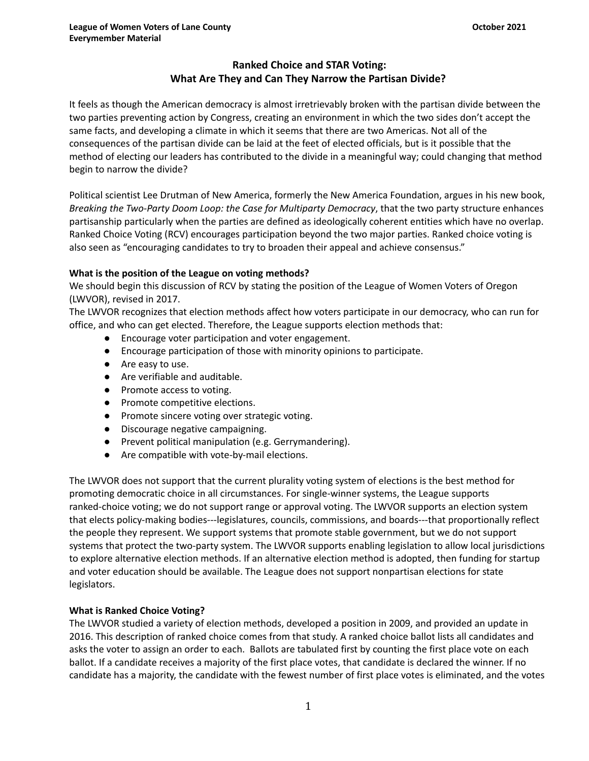# **Ranked Choice and STAR Voting: What Are They and Can They Narrow the Partisan Divide?**

It feels as though the American democracy is almost irretrievably broken with the partisan divide between the two parties preventing action by Congress, creating an environment in which the two sides don't accept the same facts, and developing a climate in which it seems that there are two Americas. Not all of the consequences of the partisan divide can be laid at the feet of elected officials, but is it possible that the method of electing our leaders has contributed to the divide in a meaningful way; could changing that method begin to narrow the divide?

Political scientist Lee Drutman of New America, formerly the New America Foundation, argues in his new book, *Breaking the Two-Party Doom Loop: the Case for Multiparty Democracy*, that the two party structure enhances partisanship particularly when the parties are defined as ideologically coherent entities which have no overlap. Ranked Choice Voting (RCV) encourages participation beyond the two major parties. Ranked choice voting is also seen as "encouraging candidates to try to broaden their appeal and achieve consensus."

## **What is the position of the League on voting methods?**

We should begin this discussion of RCV by stating the position of the League of Women Voters of Oregon (LWVOR), revised in 2017.

The LWVOR recognizes that election methods affect how voters participate in our democracy, who can run for office, and who can get elected. Therefore, the League supports election methods that:

- Encourage voter participation and voter engagement.
- Encourage participation of those with minority opinions to participate.
- Are easy to use.
- Are verifiable and auditable.
- Promote access to voting.
- Promote competitive elections.
- Promote sincere voting over strategic voting.
- Discourage negative campaigning.
- Prevent political manipulation (e.g. Gerrymandering).
- Are compatible with vote-by-mail elections.

The LWVOR does not support that the current plurality voting system of elections is the best method for promoting democratic choice in all circumstances. For single-winner systems, the League supports ranked-choice voting; we do not support range or approval voting. The LWVOR supports an election system that elects policy-making bodies---legislatures, councils, commissions, and boards---that proportionally reflect the people they represent. We support systems that promote stable government, but we do not support systems that protect the two-party system. The LWVOR supports enabling legislation to allow local jurisdictions to explore alternative election methods. If an alternative election method is adopted, then funding for startup and voter education should be available. The League does not support nonpartisan elections for state legislators.

## **What is Ranked Choice Voting?**

The LWVOR studied a variety of election methods, developed a position in 2009, and provided an update in 2016. This description of ranked choice comes from that study. A ranked choice ballot lists all candidates and asks the voter to assign an order to each. Ballots are tabulated first by counting the first place vote on each ballot. If a candidate receives a majority of the first place votes, that candidate is declared the winner. If no candidate has a majority, the candidate with the fewest number of first place votes is eliminated, and the votes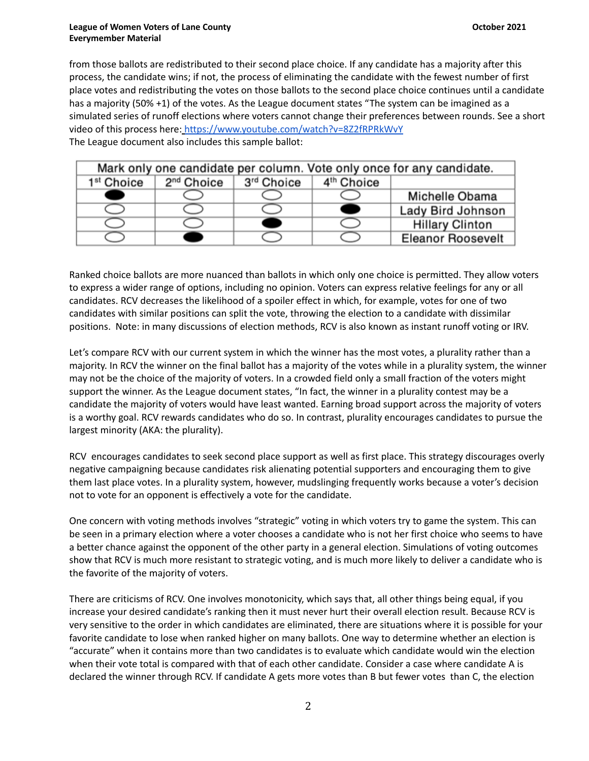### **League of Women Voters of Lane County and County and County and County County Actober 2021 Everymember Material**

from those ballots are redistributed to their second place choice. If any candidate has a majority after this process, the candidate wins; if not, the process of eliminating the candidate with the fewest number of first place votes and redistributing the votes on those ballots to the second place choice continues until a candidate has a majority (50% +1) of the votes. As the League document states "The system can be imagined as a simulated series of runoff elections where voters cannot change their preferences between rounds. See a short video of this process here: <https://www.youtube.com/watch?v=8Z2fRPRkWvY> The League document also includes this sample ballot:

| Mark only one candidate per column. Vote only once for any candidate. |                        |            |                        |                          |  |  |  |  |  |
|-----------------------------------------------------------------------|------------------------|------------|------------------------|--------------------------|--|--|--|--|--|
| 1 <sup>st</sup> Choice                                                | 2 <sup>nd</sup> Choice | 3rd Choice | 4 <sup>th</sup> Choice |                          |  |  |  |  |  |
|                                                                       |                        |            |                        | Michelle Obama           |  |  |  |  |  |
|                                                                       |                        |            |                        | Lady Bird Johnson        |  |  |  |  |  |
|                                                                       |                        |            |                        | <b>Hillary Clinton</b>   |  |  |  |  |  |
|                                                                       |                        |            |                        | <b>Eleanor Roosevelt</b> |  |  |  |  |  |

Ranked choice ballots are more nuanced than ballots in which only one choice is permitted. They allow voters to express a wider range of options, including no opinion. Voters can express relative feelings for any or all candidates. RCV decreases the likelihood of a spoiler effect in which, for example, votes for one of two candidates with similar positions can split the vote, throwing the election to a candidate with dissimilar positions. Note: in many discussions of election methods, RCV is also known as instant runoff voting or IRV.

Let's compare RCV with our current system in which the winner has the most votes, a plurality rather than a majority. In RCV the winner on the final ballot has a majority of the votes while in a plurality system, the winner may not be the choice of the majority of voters. In a crowded field only a small fraction of the voters might support the winner. As the League document states, "In fact, the winner in a plurality contest may be a candidate the majority of voters would have least wanted. Earning broad support across the majority of voters is a worthy goal. RCV rewards candidates who do so. In contrast, plurality encourages candidates to pursue the largest minority (AKA: the plurality).

RCV encourages candidates to seek second place support as well as first place. This strategy discourages overly negative campaigning because candidates risk alienating potential supporters and encouraging them to give them last place votes. In a plurality system, however, mudslinging frequently works because a voter's decision not to vote for an opponent is effectively a vote for the candidate.

One concern with voting methods involves "strategic" voting in which voters try to game the system. This can be seen in a primary election where a voter chooses a candidate who is not her first choice who seems to have a better chance against the opponent of the other party in a general election. Simulations of voting outcomes show that RCV is much more resistant to strategic voting, and is much more likely to deliver a candidate who is the favorite of the majority of voters.

There are criticisms of RCV. One involves monotonicity, which says that, all other things being equal, if you increase your desired candidate's ranking then it must never hurt their overall election result. Because RCV is very sensitive to the order in which candidates are eliminated, there are situations where it is possible for your favorite candidate to lose when ranked higher on many ballots. One way to determine whether an election is "accurate" when it contains more than two candidates is to evaluate which candidate would win the election when their vote total is compared with that of each other candidate. Consider a case where candidate A is declared the winner through RCV. If candidate A gets more votes than B but fewer votes than C, the election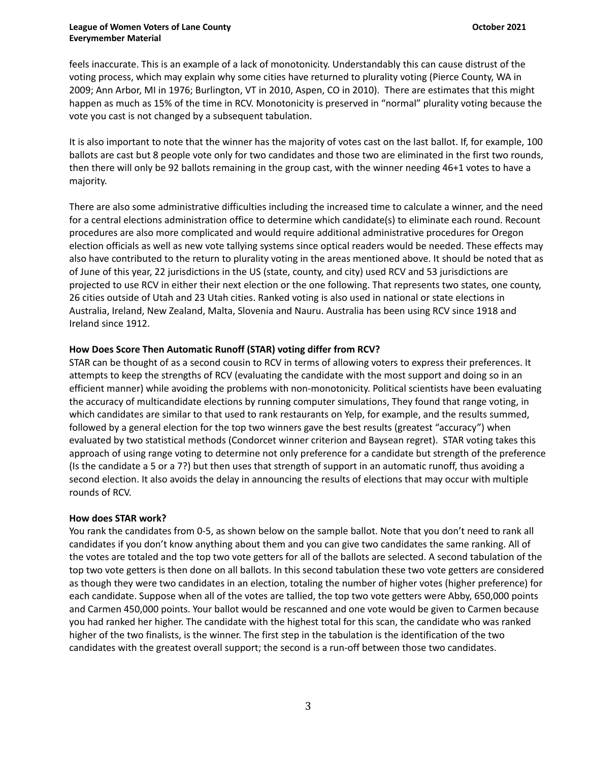#### **League of Women Voters of Lane County and County and County and County County Actober 2021 Everymember Material**

feels inaccurate. This is an example of a lack of monotonicity. Understandably this can cause distrust of the voting process, which may explain why some cities have returned to plurality voting (Pierce County, WA in 2009; Ann Arbor, MI in 1976; Burlington, VT in 2010, Aspen, CO in 2010). There are estimates that this might happen as much as 15% of the time in RCV. Monotonicity is preserved in "normal" plurality voting because the vote you cast is not changed by a subsequent tabulation.

It is also important to note that the winner has the majority of votes cast on the last ballot. If, for example, 100 ballots are cast but 8 people vote only for two candidates and those two are eliminated in the first two rounds, then there will only be 92 ballots remaining in the group cast, with the winner needing 46+1 votes to have a majority.

There are also some administrative difficulties including the increased time to calculate a winner, and the need for a central elections administration office to determine which candidate(s) to eliminate each round. Recount procedures are also more complicated and would require additional administrative procedures for Oregon election officials as well as new vote tallying systems since optical readers would be needed. These effects may also have contributed to the return to plurality voting in the areas mentioned above. It should be noted that as of June of this year, 22 jurisdictions in the US (state, county, and city) used RCV and 53 jurisdictions are projected to use RCV in either their next election or the one following. That represents two states, one county, 26 cities outside of Utah and 23 Utah cities. Ranked voting is also used in national or state elections in Australia, Ireland, New Zealand, Malta, Slovenia and Nauru. Australia has been using RCV since 1918 and Ireland since 1912.

## **How Does Score Then Automatic Runoff (STAR) voting differ from RCV?**

STAR can be thought of as a second cousin to RCV in terms of allowing voters to express their preferences. It attempts to keep the strengths of RCV (evaluating the candidate with the most support and doing so in an efficient manner) while avoiding the problems with non-monotonicity. Political scientists have been evaluating the accuracy of multicandidate elections by running computer simulations, They found that range voting, in which candidates are similar to that used to rank restaurants on Yelp, for example, and the results summed, followed by a general election for the top two winners gave the best results (greatest "accuracy") when evaluated by two statistical methods (Condorcet winner criterion and Baysean regret). STAR voting takes this approach of using range voting to determine not only preference for a candidate but strength of the preference (Is the candidate a 5 or a 7?) but then uses that strength of support in an automatic runoff, thus avoiding a second election. It also avoids the delay in announcing the results of elections that may occur with multiple rounds of RCV.

### **How does STAR work?**

You rank the candidates from 0-5, as shown below on the sample ballot. Note that you don't need to rank all candidates if you don't know anything about them and you can give two candidates the same ranking. All of the votes are totaled and the top two vote getters for all of the ballots are selected. A second tabulation of the top two vote getters is then done on all ballots. In this second tabulation these two vote getters are considered as though they were two candidates in an election, totaling the number of higher votes (higher preference) for each candidate. Suppose when all of the votes are tallied, the top two vote getters were Abby, 650,000 points and Carmen 450,000 points. Your ballot would be rescanned and one vote would be given to Carmen because you had ranked her higher. The candidate with the highest total for this scan, the candidate who was ranked higher of the two finalists, is the winner. The first step in the tabulation is the identification of the two candidates with the greatest overall support; the second is a run-off between those two candidates.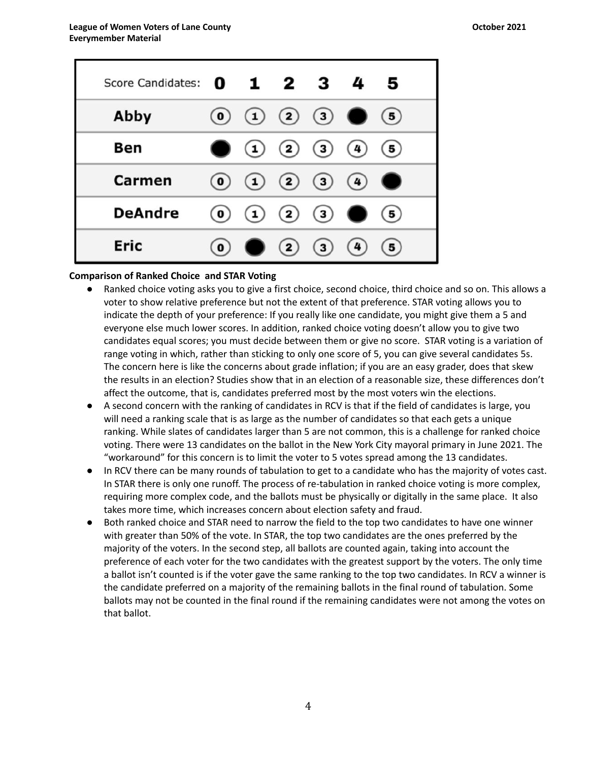| Score Candidates: 0 1 2 3 4 |                        |                                               |     | 5         |
|-----------------------------|------------------------|-----------------------------------------------|-----|-----------|
| Abby                        |                        | $\begin{pmatrix} 0 & 1 & 2 & 3 \end{pmatrix}$ |     | (5)       |
| Ben                         |                        | (1) (2) (3) (4)                               |     | (5)       |
| Carmen                      | $\left( \circ \right)$ | $(1)$ $(2)$ $(3)$ $(4)$                       |     | $\bullet$ |
| <b>DeAndre</b>              | $\left( 0\right)$      | (1) (2) (3) 0                                 |     | (5)       |
| <b>Eric</b>                 | $\left( 0\right)$      | (2)(3)                                        | (4) | (5)       |

### **Comparison of Ranked Choice and STAR Voting**

- Ranked choice voting asks you to give a first choice, second choice, third choice and so on. This allows a voter to show relative preference but not the extent of that preference. STAR voting allows you to indicate the depth of your preference: If you really like one candidate, you might give them a 5 and everyone else much lower scores. In addition, ranked choice voting doesn't allow you to give two candidates equal scores; you must decide between them or give no score. STAR voting is a variation of range voting in which, rather than sticking to only one score of 5, you can give several candidates 5s. The concern here is like the concerns about grade inflation; if you are an easy grader, does that skew the results in an election? Studies show that in an election of a reasonable size, these differences don't affect the outcome, that is, candidates preferred most by the most voters win the elections.
- A second concern with the ranking of candidates in RCV is that if the field of candidates is large, you will need a ranking scale that is as large as the number of candidates so that each gets a unique ranking. While slates of candidates larger than 5 are not common, this is a challenge for ranked choice voting. There were 13 candidates on the ballot in the New York City mayoral primary in June 2021. The "workaround" for this concern is to limit the voter to 5 votes spread among the 13 candidates.
- In RCV there can be many rounds of tabulation to get to a candidate who has the majority of votes cast. In STAR there is only one runoff. The process of re-tabulation in ranked choice voting is more complex, requiring more complex code, and the ballots must be physically or digitally in the same place. It also takes more time, which increases concern about election safety and fraud.
- Both ranked choice and STAR need to narrow the field to the top two candidates to have one winner with greater than 50% of the vote. In STAR, the top two candidates are the ones preferred by the majority of the voters. In the second step, all ballots are counted again, taking into account the preference of each voter for the two candidates with the greatest support by the voters. The only time a ballot isn't counted is if the voter gave the same ranking to the top two candidates. In RCV a winner is the candidate preferred on a majority of the remaining ballots in the final round of tabulation. Some ballots may not be counted in the final round if the remaining candidates were not among the votes on that ballot.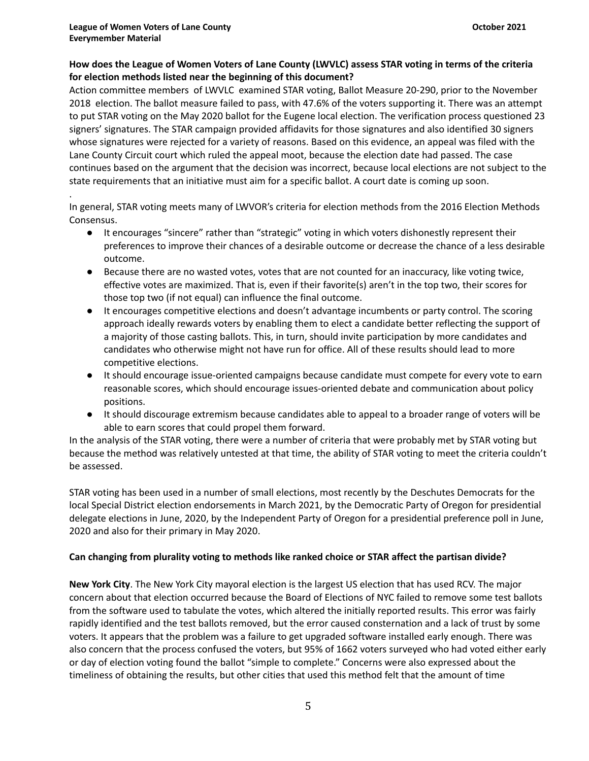## **How does the League of Women Voters of Lane County (LWVLC) assess STAR voting in terms of the criteria for election methods listed near the beginning of this document?**

Action committee members of LWVLC examined STAR voting, Ballot Measure 20-290, prior to the November 2018 election. The ballot measure failed to pass, with 47.6% of the voters supporting it. There was an attempt to put STAR voting on the May 2020 ballot for the Eugene local election. The verification process questioned 23 signers' signatures. The STAR campaign provided affidavits for those signatures and also identified 30 signers whose signatures were rejected for a variety of reasons. Based on this evidence, an appeal was filed with the Lane County Circuit court which ruled the appeal moot, because the election date had passed. The case continues based on the argument that the decision was incorrect, because local elections are not subject to the state requirements that an initiative must aim for a specific ballot. A court date is coming up soon.

. In general, STAR voting meets many of LWVOR's criteria for election methods from the 2016 Election Methods Consensus.

- It encourages "sincere" rather than "strategic" voting in which voters dishonestly represent their preferences to improve their chances of a desirable outcome or decrease the chance of a less desirable outcome.
- Because there are no wasted votes, votes that are not counted for an inaccuracy, like voting twice, effective votes are maximized. That is, even if their favorite(s) aren't in the top two, their scores for those top two (if not equal) can influence the final outcome.
- It encourages competitive elections and doesn't advantage incumbents or party control. The scoring approach ideally rewards voters by enabling them to elect a candidate better reflecting the support of a majority of those casting ballots. This, in turn, should invite participation by more candidates and candidates who otherwise might not have run for office. All of these results should lead to more competitive elections.
- It should encourage issue-oriented campaigns because candidate must compete for every vote to earn reasonable scores, which should encourage issues-oriented debate and communication about policy positions.
- It should discourage extremism because candidates able to appeal to a broader range of voters will be able to earn scores that could propel them forward.

In the analysis of the STAR voting, there were a number of criteria that were probably met by STAR voting but because the method was relatively untested at that time, the ability of STAR voting to meet the criteria couldn't be assessed.

STAR voting has been used in a number of small elections, most recently by the Deschutes Democrats for the local Special District election endorsements in March 2021, by the Democratic Party of Oregon for presidential delegate elections in June, 2020, by the Independent Party of Oregon for a presidential preference poll in June, 2020 and also for their primary in May 2020.

# **Can changing from plurality voting to methods like ranked choice or STAR affect the partisan divide?**

**New York City**. The New York City mayoral election is the largest US election that has used RCV. The major concern about that election occurred because the Board of Elections of NYC failed to remove some test ballots from the software used to tabulate the votes, which altered the initially reported results. This error was fairly rapidly identified and the test ballots removed, but the error caused consternation and a lack of trust by some voters. It appears that the problem was a failure to get upgraded software installed early enough. There was also concern that the process confused the voters, but 95% of 1662 voters surveyed who had voted either early or day of election voting found the ballot "simple to complete." Concerns were also expressed about the timeliness of obtaining the results, but other cities that used this method felt that the amount of time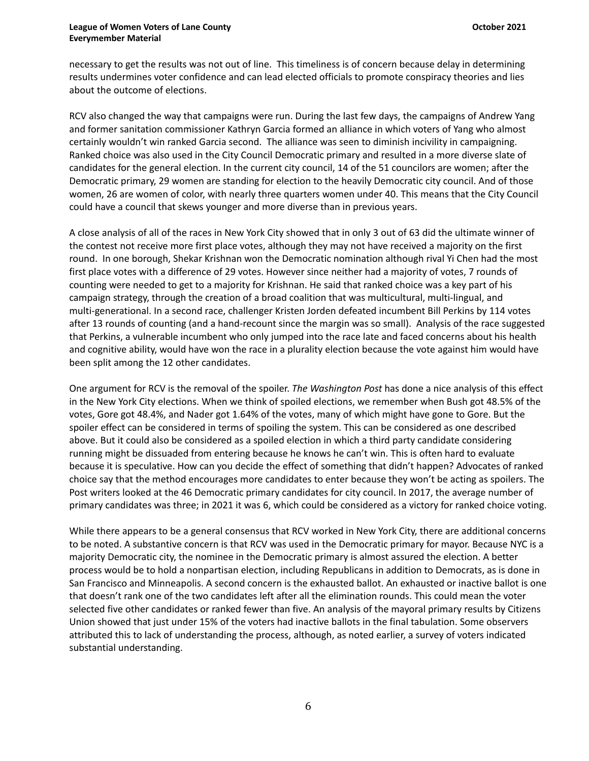#### **League of Women Voters of Lane County and County and County and County County Actober 2021 Everymember Material**

necessary to get the results was not out of line. This timeliness is of concern because delay in determining results undermines voter confidence and can lead elected officials to promote conspiracy theories and lies about the outcome of elections.

RCV also changed the way that campaigns were run. During the last few days, the campaigns of Andrew Yang and former sanitation commissioner Kathryn Garcia formed an alliance in which voters of Yang who almost certainly wouldn't win ranked Garcia second. The alliance was seen to diminish incivility in campaigning. Ranked choice was also used in the City Council Democratic primary and resulted in a more diverse slate of candidates for the general election. In the current city council, 14 of the 51 councilors are women; after the Democratic primary, 29 women are standing for election to the heavily Democratic city council. And of those women, 26 are women of color, with nearly three quarters women under 40. This means that the City Council could have a council that skews younger and more diverse than in previous years.

A close analysis of all of the races in New York City showed that in only 3 out of 63 did the ultimate winner of the contest not receive more first place votes, although they may not have received a majority on the first round. In one borough, Shekar Krishnan won the Democratic nomination although rival Yi Chen had the most first place votes with a difference of 29 votes. However since neither had a majority of votes, 7 rounds of counting were needed to get to a majority for Krishnan. He said that ranked choice was a key part of his campaign strategy, through the creation of a broad coalition that was multicultural, multi-lingual, and multi-generational. In a second race, challenger Kristen Jorden defeated incumbent Bill Perkins by 114 votes after 13 rounds of counting (and a hand-recount since the margin was so small). Analysis of the race suggested that Perkins, a vulnerable incumbent who only jumped into the race late and faced concerns about his health and cognitive ability, would have won the race in a plurality election because the vote against him would have been split among the 12 other candidates.

One argument for RCV is the removal of the spoiler. *The Washington Post* has done a nice analysis of this effect in the New York City elections. When we think of spoiled elections, we remember when Bush got 48.5% of the votes, Gore got 48.4%, and Nader got 1.64% of the votes, many of which might have gone to Gore. But the spoiler effect can be considered in terms of spoiling the system. This can be considered as one described above. But it could also be considered as a spoiled election in which a third party candidate considering running might be dissuaded from entering because he knows he can't win. This is often hard to evaluate because it is speculative. How can you decide the effect of something that didn't happen? Advocates of ranked choice say that the method encourages more candidates to enter because they won't be acting as spoilers. The Post writers looked at the 46 Democratic primary candidates for city council. In 2017, the average number of primary candidates was three; in 2021 it was 6, which could be considered as a victory for ranked choice voting.

While there appears to be a general consensus that RCV worked in New York City, there are additional concerns to be noted. A substantive concern is that RCV was used in the Democratic primary for mayor. Because NYC is a majority Democratic city, the nominee in the Democratic primary is almost assured the election. A better process would be to hold a nonpartisan election, including Republicans in addition to Democrats, as is done in San Francisco and Minneapolis. A second concern is the exhausted ballot. An exhausted or inactive ballot is one that doesn't rank one of the two candidates left after all the elimination rounds. This could mean the voter selected five other candidates or ranked fewer than five. An analysis of the mayoral primary results by Citizens Union showed that just under 15% of the voters had inactive ballots in the final tabulation. Some observers attributed this to lack of understanding the process, although, as noted earlier, a survey of voters indicated substantial understanding.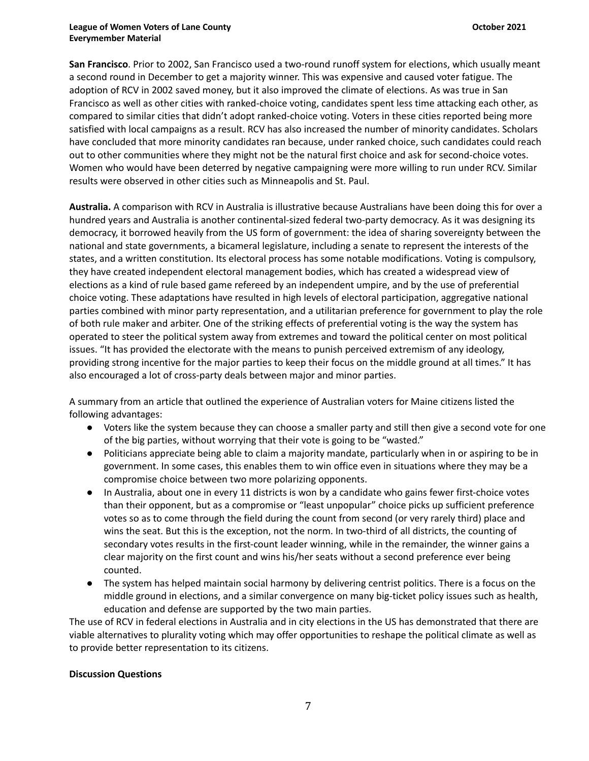**San Francisco**. Prior to 2002, San Francisco used a two-round runoff system for elections, which usually meant a second round in December to get a majority winner. This was expensive and caused voter fatigue. The adoption of RCV in 2002 saved money, but it also improved the climate of elections. As was true in San Francisco as well as other cities with ranked-choice voting, candidates spent less time attacking each other, as compared to similar cities that didn't adopt ranked-choice voting. Voters in these cities reported being more satisfied with local campaigns as a result. RCV has also increased the number of minority candidates. Scholars have concluded that more minority candidates ran because, under ranked choice, such candidates could reach out to other communities where they might not be the natural first choice and ask for second-choice votes. Women who would have been deterred by negative campaigning were more willing to run under RCV. Similar results were observed in other cities such as Minneapolis and St. Paul.

**Australia.** A comparison with RCV in Australia is illustrative because Australians have been doing this for over a hundred years and Australia is another continental‐sized federal two‐party democracy. As it was designing its democracy, it borrowed heavily from the US form of government: the idea of sharing sovereignty between the national and state governments, a bicameral legislature, including a senate to represent the interests of the states, and a written constitution. Its electoral process has some notable modifications. Voting is compulsory, they have created independent electoral management bodies, which has created a widespread view of elections as a kind of rule based game refereed by an independent umpire, and by the use of preferential choice voting. These adaptations have resulted in high levels of electoral participation, aggregative national parties combined with minor party representation, and a utilitarian preference for government to play the role of both rule maker and arbiter. One of the striking effects of preferential voting is the way the system has operated to steer the political system away from extremes and toward the political center on most political issues. "It has provided the electorate with the means to punish perceived extremism of any ideology, providing strong incentive for the major parties to keep their focus on the middle ground at all times." It has also encouraged a lot of cross-party deals between major and minor parties.

A summary from an article that outlined the experience of Australian voters for Maine citizens listed the following advantages:

- Voters like the system because they can choose a smaller party and still then give a second vote for one of the big parties, without worrying that their vote is going to be "wasted."
- Politicians appreciate being able to claim a majority mandate, particularly when in or aspiring to be in government. In some cases, this enables them to win office even in situations where they may be a compromise choice between two more polarizing opponents.
- In Australia, about one in every 11 districts is won by a candidate who gains fewer first-choice votes than their opponent, but as a compromise or "least unpopular" choice picks up sufficient preference votes so as to come through the field during the count from second (or very rarely third) place and wins the seat. But this is the exception, not the norm. In two-third of all districts, the counting of secondary votes results in the first-count leader winning, while in the remainder, the winner gains a clear majority on the first count and wins his/her seats without a second preference ever being counted.
- The system has helped maintain social harmony by delivering centrist politics. There is a focus on the middle ground in elections, and a similar convergence on many big-ticket policy issues such as health, education and defense are supported by the two main parties.

The use of RCV in federal elections in Australia and in city elections in the US has demonstrated that there are viable alternatives to plurality voting which may offer opportunities to reshape the political climate as well as to provide better representation to its citizens.

## **Discussion Questions**